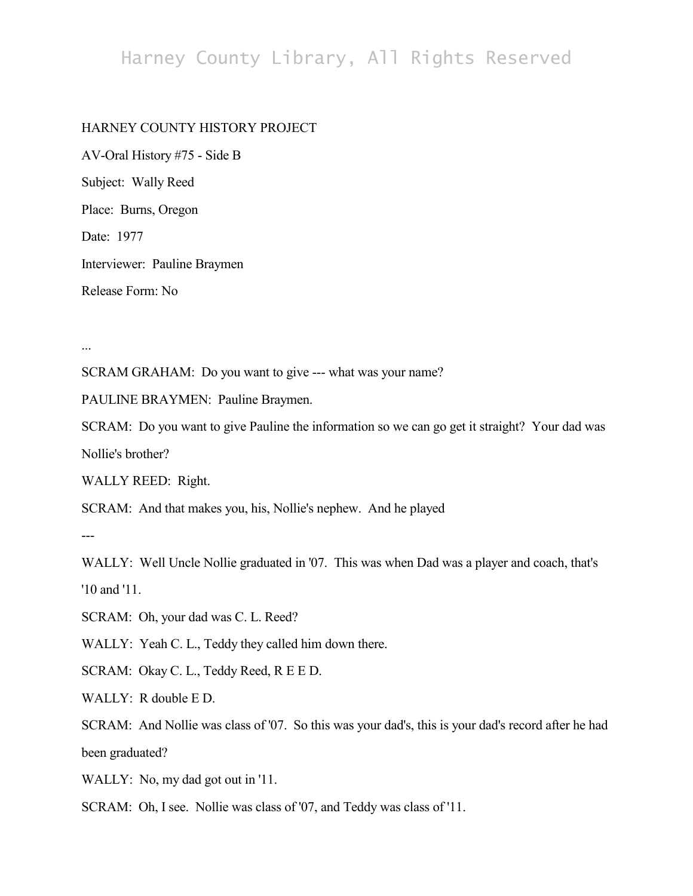## Harney County Library, All Rights Reserved

## HARNEY COUNTY HISTORY PROJECT

AV-Oral History #75 - Side B Subject: Wally Reed Place: Burns, Oregon Date: 1977 Interviewer: Pauline Braymen Release Form: No

...

SCRAM GRAHAM: Do you want to give --- what was your name?

PAULINE BRAYMEN: Pauline Braymen.

SCRAM: Do you want to give Pauline the information so we can go get it straight? Your dad was Nollie's brother?

WALLY REED: Right.

SCRAM: And that makes you, his, Nollie's nephew. And he played

---

WALLY: Well Uncle Nollie graduated in '07. This was when Dad was a player and coach, that's '10 and '11.

SCRAM: Oh, your dad was C. L. Reed?

WALLY: Yeah C. L., Teddy they called him down there.

SCRAM: Okay C. L., Teddy Reed, R E E D.

WALLY: R double E D.

SCRAM: And Nollie was class of '07. So this was your dad's, this is your dad's record after he had been graduated?

WALLY: No, my dad got out in '11.

SCRAM: Oh, I see. Nollie was class of '07, and Teddy was class of '11.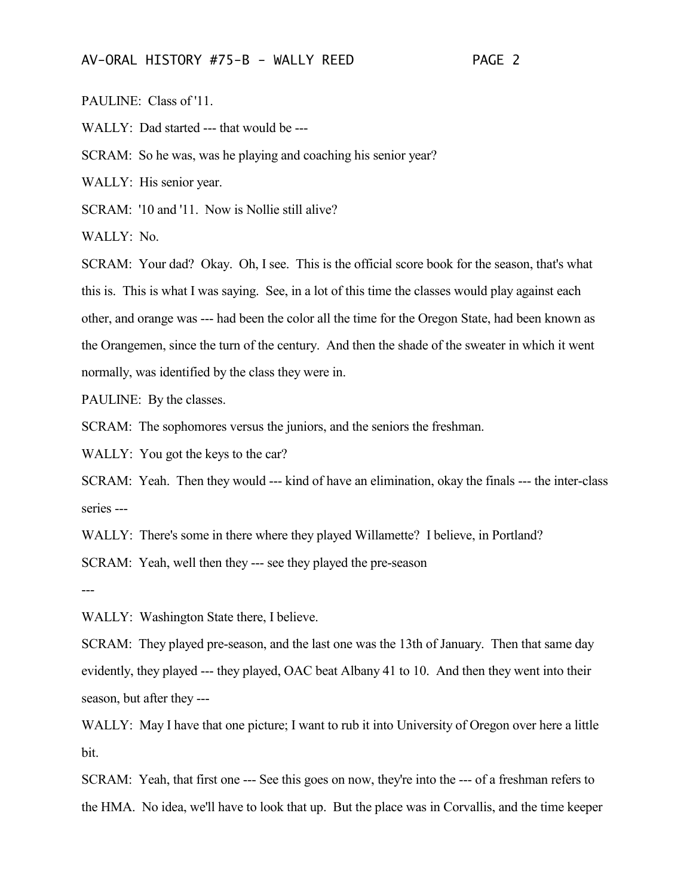PAULINE: Class of '11.

WALLY: Dad started --- that would be ---

SCRAM: So he was, was he playing and coaching his senior year?

WALLY: His senior year.

SCRAM: '10 and '11. Now is Nollie still alive?

WALLY: No.

SCRAM: Your dad? Okay. Oh, I see. This is the official score book for the season, that's what this is. This is what I was saying. See, in a lot of this time the classes would play against each other, and orange was --- had been the color all the time for the Oregon State, had been known as the Orangemen, since the turn of the century. And then the shade of the sweater in which it went normally, was identified by the class they were in.

PAULINE: By the classes.

SCRAM: The sophomores versus the juniors, and the seniors the freshman.

WALLY: You got the keys to the car?

SCRAM: Yeah. Then they would --- kind of have an elimination, okay the finals --- the inter-class series ---

WALLY: There's some in there where they played Willamette? I believe, in Portland?

SCRAM: Yeah, well then they --- see they played the pre-season

---

WALLY: Washington State there, I believe.

SCRAM: They played pre-season, and the last one was the 13th of January. Then that same day evidently, they played --- they played, OAC beat Albany 41 to 10. And then they went into their season, but after they ---

WALLY: May I have that one picture; I want to rub it into University of Oregon over here a little bit.

SCRAM: Yeah, that first one --- See this goes on now, they're into the --- of a freshman refers to the HMA. No idea, we'll have to look that up. But the place was in Corvallis, and the time keeper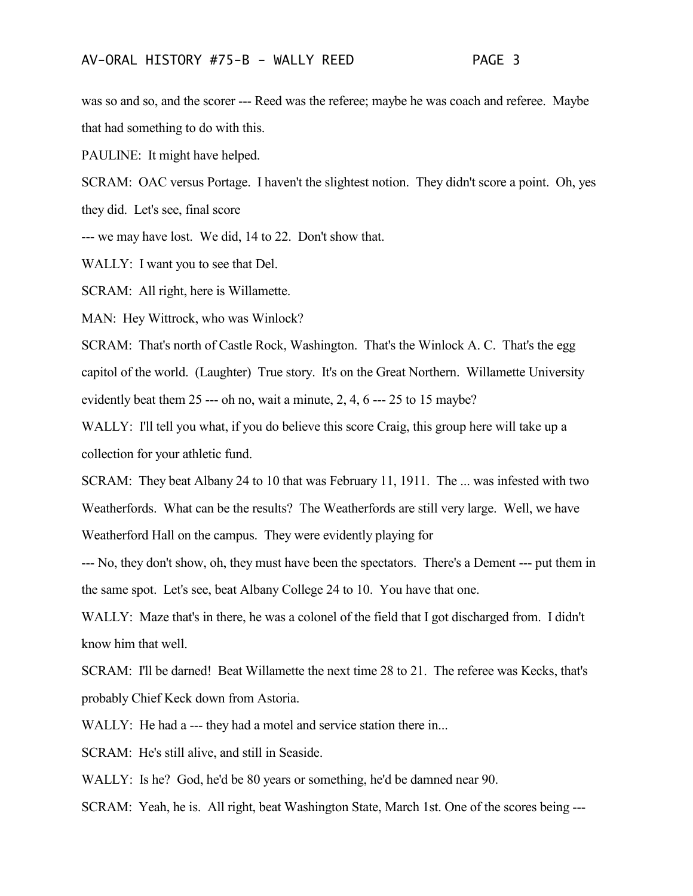was so and so, and the scorer --- Reed was the referee; maybe he was coach and referee. Maybe that had something to do with this.

PAULINE: It might have helped.

SCRAM: OAC versus Portage. I haven't the slightest notion. They didn't score a point. Oh, yes they did. Let's see, final score

--- we may have lost. We did, 14 to 22. Don't show that.

WALLY: I want you to see that Del.

SCRAM: All right, here is Willamette.

MAN: Hey Wittrock, who was Winlock?

SCRAM: That's north of Castle Rock, Washington. That's the Winlock A. C. That's the egg capitol of the world. (Laughter) True story. It's on the Great Northern. Willamette University evidently beat them 25 --- oh no, wait a minute, 2, 4, 6 --- 25 to 15 maybe?

WALLY: I'll tell you what, if you do believe this score Craig, this group here will take up a collection for your athletic fund.

SCRAM: They beat Albany 24 to 10 that was February 11, 1911. The ... was infested with two Weatherfords. What can be the results? The Weatherfords are still very large. Well, we have Weatherford Hall on the campus. They were evidently playing for

--- No, they don't show, oh, they must have been the spectators. There's a Dement --- put them in the same spot. Let's see, beat Albany College 24 to 10. You have that one.

WALLY: Maze that's in there, he was a colonel of the field that I got discharged from. I didn't know him that well.

SCRAM: I'll be darned! Beat Willamette the next time 28 to 21. The referee was Kecks, that's probably Chief Keck down from Astoria.

WALLY: He had a --- they had a motel and service station there in...

SCRAM: He's still alive, and still in Seaside.

WALLY: Is he? God, he'd be 80 years or something, he'd be damned near 90.

SCRAM: Yeah, he is. All right, beat Washington State, March 1st. One of the scores being ---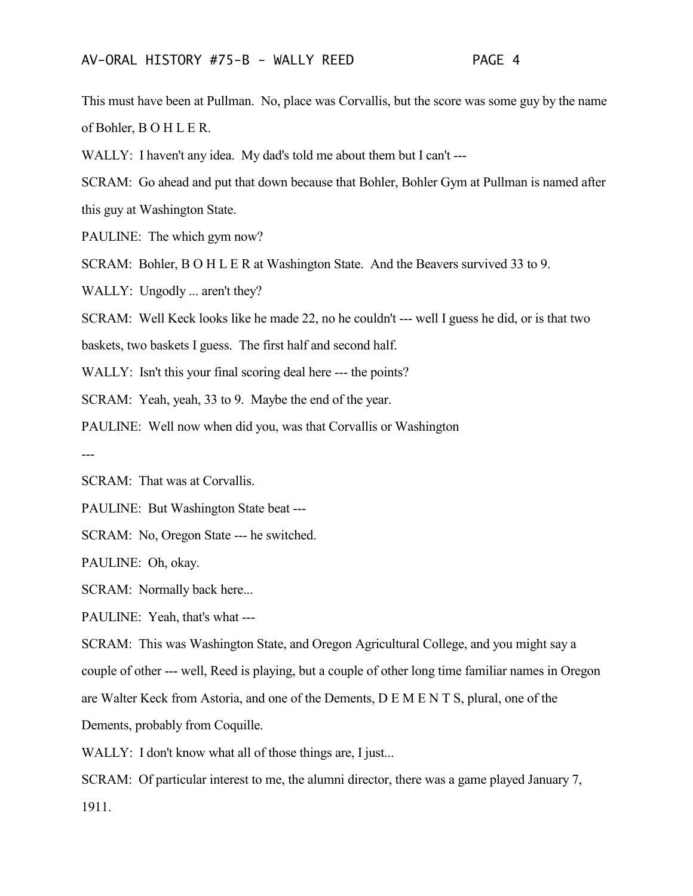This must have been at Pullman. No, place was Corvallis, but the score was some guy by the name of Bohler, B O H L E R.

WALLY: I haven't any idea. My dad's told me about them but I can't ---

SCRAM: Go ahead and put that down because that Bohler, Bohler Gym at Pullman is named after

this guy at Washington State.

PAULINE: The which gym now?

SCRAM: Bohler, B O H L E R at Washington State. And the Beavers survived 33 to 9.

WALLY: Ungodly ... aren't they?

SCRAM: Well Keck looks like he made 22, no he couldn't --- well I guess he did, or is that two

baskets, two baskets I guess. The first half and second half.

WALLY: Isn't this your final scoring deal here --- the points?

SCRAM: Yeah, yeah, 33 to 9. Maybe the end of the year.

PAULINE: Well now when did you, was that Corvallis or Washington

---

SCRAM: That was at Corvallis.

PAULINE: But Washington State beat ---

SCRAM: No, Oregon State --- he switched.

PAULINE: Oh, okay.

SCRAM: Normally back here...

PAULINE: Yeah, that's what ---

SCRAM: This was Washington State, and Oregon Agricultural College, and you might say a couple of other --- well, Reed is playing, but a couple of other long time familiar names in Oregon are Walter Keck from Astoria, and one of the Dements, D E M E N T S, plural, one of the Dements, probably from Coquille.

WALLY: I don't know what all of those things are, I just...

SCRAM: Of particular interest to me, the alumni director, there was a game played January 7, 1911.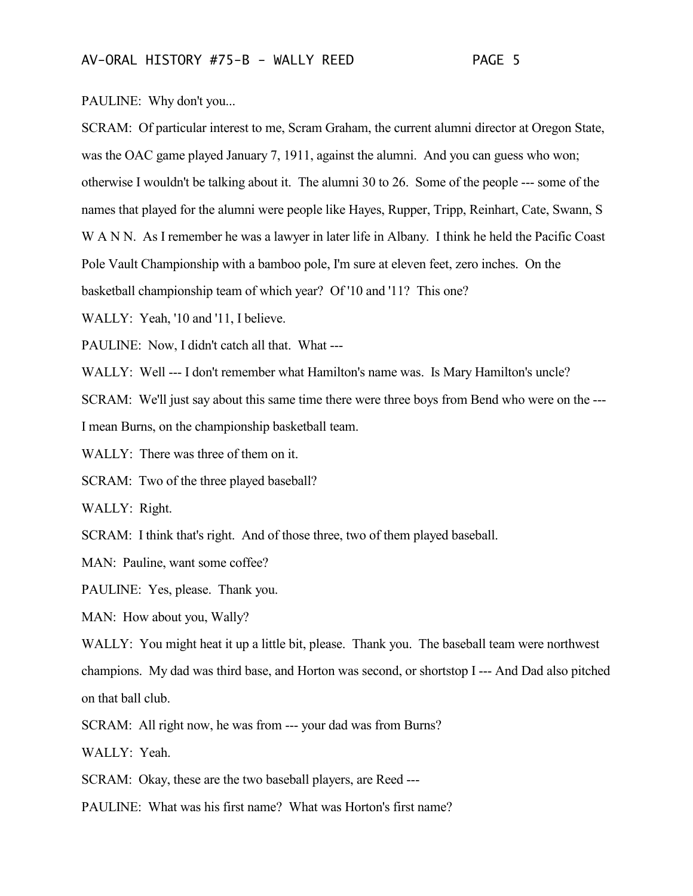PAULINE: Why don't you...

SCRAM: Of particular interest to me, Scram Graham, the current alumni director at Oregon State, was the OAC game played January 7, 1911, against the alumni. And you can guess who won; otherwise I wouldn't be talking about it. The alumni 30 to 26. Some of the people --- some of the names that played for the alumni were people like Hayes, Rupper, Tripp, Reinhart, Cate, Swann, S W A N N. As I remember he was a lawyer in later life in Albany. I think he held the Pacific Coast Pole Vault Championship with a bamboo pole, I'm sure at eleven feet, zero inches. On the basketball championship team of which year? Of '10 and '11? This one?

WALLY: Yeah, '10 and '11, I believe.

PAULINE: Now, I didn't catch all that. What ---

WALLY: Well --- I don't remember what Hamilton's name was. Is Mary Hamilton's uncle?

SCRAM: We'll just say about this same time there were three boys from Bend who were on the ---

I mean Burns, on the championship basketball team.

WALLY: There was three of them on it.

SCRAM: Two of the three played baseball?

WALLY: Right.

SCRAM: I think that's right. And of those three, two of them played baseball.

MAN: Pauline, want some coffee?

PAULINE: Yes, please. Thank you.

MAN: How about you, Wally?

WALLY: You might heat it up a little bit, please. Thank you. The baseball team were northwest champions. My dad was third base, and Horton was second, or shortstop I --- And Dad also pitched on that ball club.

SCRAM: All right now, he was from --- your dad was from Burns?

WALLY: Yeah.

SCRAM: Okay, these are the two baseball players, are Reed ---

PAULINE: What was his first name? What was Horton's first name?